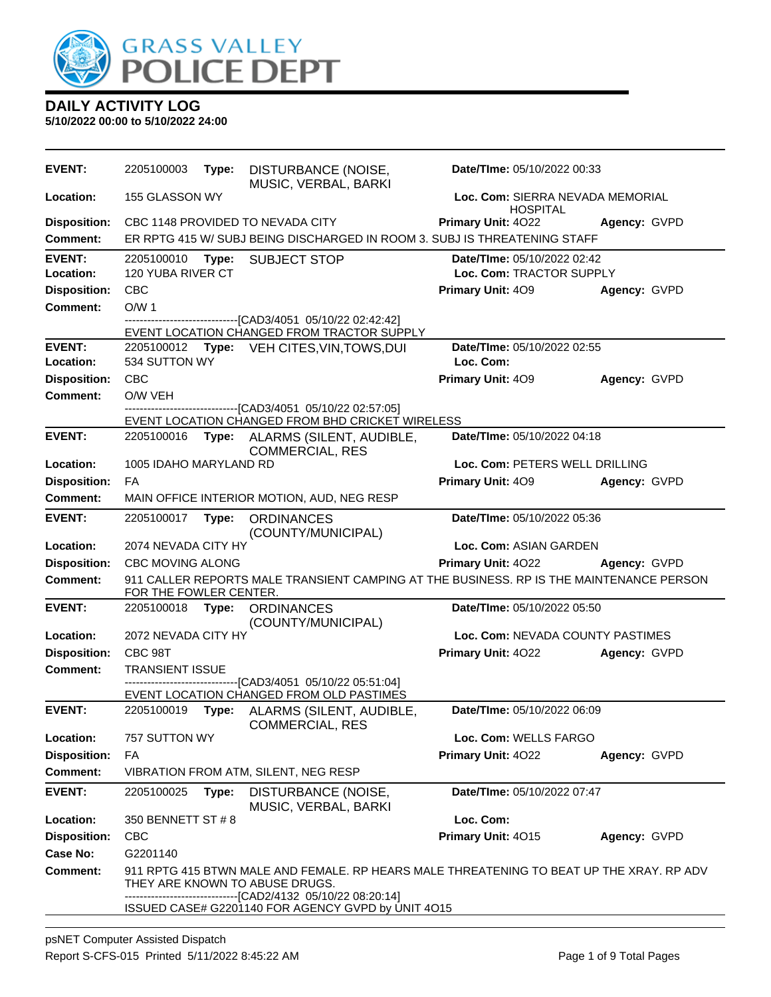

| <b>EVENT:</b>              | 2205100003                                                                                    | Type: | DISTURBANCE (NOISE,<br>MUSIC, VERBAL, BARKI                                                                                                                                   | Date/TIme: 05/10/2022 00:33                                    |              |
|----------------------------|-----------------------------------------------------------------------------------------------|-------|-------------------------------------------------------------------------------------------------------------------------------------------------------------------------------|----------------------------------------------------------------|--------------|
| Location:                  | 155 GLASSON WY                                                                                |       |                                                                                                                                                                               | Loc. Com: SIERRA NEVADA MEMORIAL<br><b>HOSPITAL</b>            |              |
| <b>Disposition:</b>        |                                                                                               |       | CBC 1148 PROVIDED TO NEVADA CITY                                                                                                                                              | Primary Unit: 4022                                             | Agency: GVPD |
| <b>Comment:</b>            |                                                                                               |       | ER RPTG 415 W/ SUBJ BEING DISCHARGED IN ROOM 3. SUBJ IS THREATENING STAFF                                                                                                     |                                                                |              |
| <b>EVENT:</b><br>Location: | 2205100010<br>120 YUBA RIVER CT                                                               | Type: | <b>SUBJECT STOP</b>                                                                                                                                                           | <b>Date/Time: 05/10/2022 02:42</b><br>Loc. Com: TRACTOR SUPPLY |              |
| <b>Disposition:</b>        | <b>CBC</b>                                                                                    |       |                                                                                                                                                                               | Primary Unit: 409                                              | Agency: GVPD |
| <b>Comment:</b>            | O/W <sub>1</sub>                                                                              |       |                                                                                                                                                                               |                                                                |              |
|                            |                                                                                               |       | ----------------[CAD3/4051 05/10/22 02:42:42]<br>EVENT LOCATION CHANGED FROM TRACTOR SUPPLY                                                                                   |                                                                |              |
| <b>EVENT:</b><br>Location: | 2205100012<br>534 SUTTON WY                                                                   |       | <b>Type:</b> VEH CITES, VIN, TOWS, DUI                                                                                                                                        | Date/TIme: 05/10/2022 02:55<br>Loc. Com:                       |              |
| <b>Disposition:</b>        | CBC                                                                                           |       |                                                                                                                                                                               | Primary Unit: 409                                              | Agency: GVPD |
| <b>Comment:</b>            | O/W VEH                                                                                       |       |                                                                                                                                                                               |                                                                |              |
|                            |                                                                                               |       | -----------------[CAD3/4051_05/10/22 02:57:05]<br>EVENT LOCATION CHANGED FROM BHD CRICKET WIRELESS                                                                            |                                                                |              |
| <b>EVENT:</b>              | 2205100016                                                                                    |       | Type: ALARMS (SILENT, AUDIBLE,<br><b>COMMERCIAL, RES</b>                                                                                                                      | Date/TIme: 05/10/2022 04:18                                    |              |
| Location:                  | 1005 IDAHO MARYLAND RD                                                                        |       |                                                                                                                                                                               | Loc. Com: PETERS WELL DRILLING                                 |              |
| <b>Disposition:</b>        | FA                                                                                            |       |                                                                                                                                                                               | Primary Unit: 409                                              | Agency: GVPD |
| <b>Comment:</b>            | MAIN OFFICE INTERIOR MOTION, AUD, NEG RESP                                                    |       |                                                                                                                                                                               |                                                                |              |
| <b>EVENT:</b>              | 2205100017<br>Type:<br><b>ORDINANCES</b><br>Date/TIme: 05/10/2022 05:36<br>(COUNTY/MUNICIPAL) |       |                                                                                                                                                                               |                                                                |              |
| Location:                  | 2074 NEVADA CITY HY                                                                           |       |                                                                                                                                                                               | Loc. Com: ASIAN GARDEN                                         |              |
| <b>Disposition:</b>        | <b>CBC MOVING ALONG</b>                                                                       |       |                                                                                                                                                                               | Primary Unit: 4022                                             | Agency: GVPD |
| <b>Comment:</b>            | FOR THE FOWLER CENTER.                                                                        |       | 911 CALLER REPORTS MALE TRANSIENT CAMPING AT THE BUSINESS. RP IS THE MAINTENANCE PERSON                                                                                       |                                                                |              |
| <b>EVENT:</b>              | 2205100018                                                                                    | Type: | <b>ORDINANCES</b><br>(COUNTY/MUNICIPAL)                                                                                                                                       | Date/TIme: 05/10/2022 05:50                                    |              |
| Location:                  | 2072 NEVADA CITY HY                                                                           |       |                                                                                                                                                                               | Loc. Com: NEVADA COUNTY PASTIMES                               |              |
| <b>Disposition:</b>        | CBC 98T                                                                                       |       |                                                                                                                                                                               | Primary Unit: 4022                                             | Agency: GVPD |
| <b>Comment:</b>            | <b>TRANSIENT ISSUE</b>                                                                        |       | -------------------------------[CAD3/4051 05/10/22 05:51:04]                                                                                                                  |                                                                |              |
|                            |                                                                                               |       | EVENT LOCATION CHANGED FROM OLD PASTIMES                                                                                                                                      |                                                                |              |
| <b>EVENT:</b>              | 2205100019                                                                                    | Type: | ALARMS (SILENT, AUDIBLE,<br><b>COMMERCIAL, RES</b>                                                                                                                            | Date/TIme: 05/10/2022 06:09                                    |              |
| Location:                  | 757 SUTTON WY                                                                                 |       |                                                                                                                                                                               | Loc. Com: WELLS FARGO                                          |              |
| <b>Disposition:</b>        | FA                                                                                            |       |                                                                                                                                                                               | Primary Unit: 4022                                             | Agency: GVPD |
| <b>Comment:</b>            |                                                                                               |       | VIBRATION FROM ATM, SILENT, NEG RESP                                                                                                                                          |                                                                |              |
| <b>EVENT:</b>              | 2205100025                                                                                    | Type: | DISTURBANCE (NOISE,<br>MUSIC, VERBAL, BARKI                                                                                                                                   | Date/TIme: 05/10/2022 07:47                                    |              |
| Location:                  | 350 BENNETT ST # 8                                                                            |       |                                                                                                                                                                               | Loc. Com:                                                      |              |
| <b>Disposition:</b>        | <b>CBC</b>                                                                                    |       |                                                                                                                                                                               | Primary Unit: 4015                                             | Agency: GVPD |
| <b>Case No:</b>            | G2201140                                                                                      |       |                                                                                                                                                                               |                                                                |              |
| <b>Comment:</b>            |                                                                                               |       | 911 RPTG 415 BTWN MALE AND FEMALE. RP HEARS MALE THREATENING TO BEAT UP THE XRAY. RP ADV<br>THEY ARE KNOWN TO ABUSE DRUGS.<br>------------------[CAD2/4132_05/10/22_08:20:14] |                                                                |              |
|                            | ISSUED CASE# G2201140 FOR AGENCY GVPD by UNIT 4O15                                            |       |                                                                                                                                                                               |                                                                |              |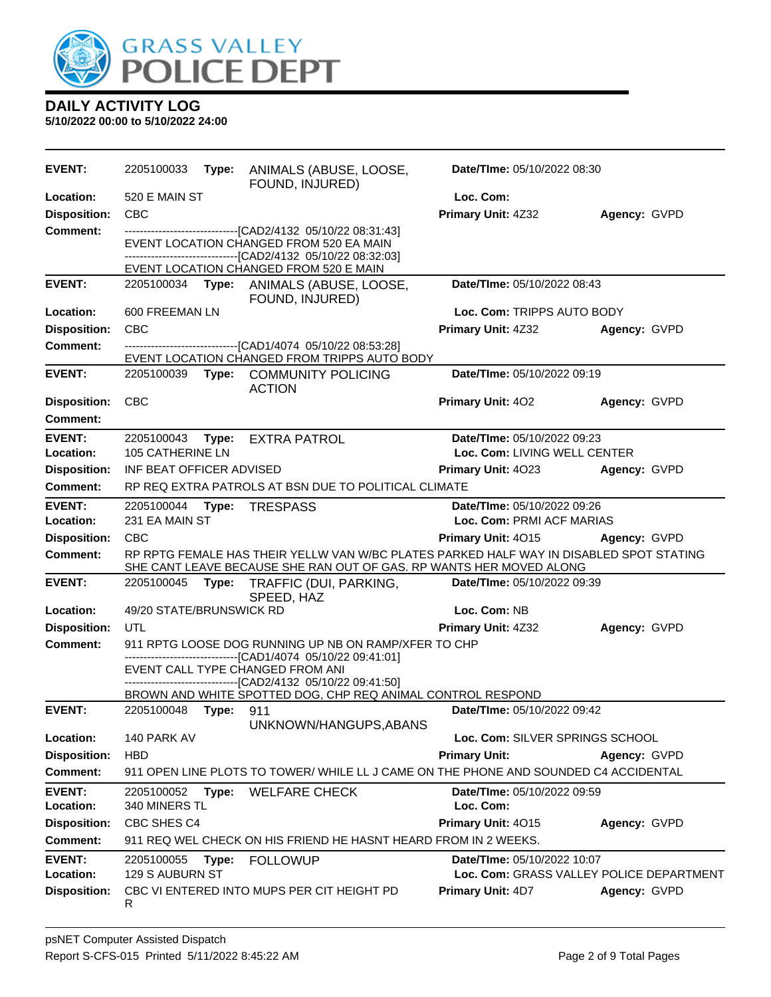

| <b>EVENT:</b>              | 2205100033                    |                  | Type: ANIMALS (ABUSE, LOOSE,<br>FOUND, INJURED)                                                                                                                           | Date/TIme: 05/10/2022 08:30                                             |              |
|----------------------------|-------------------------------|------------------|---------------------------------------------------------------------------------------------------------------------------------------------------------------------------|-------------------------------------------------------------------------|--------------|
| Location:                  | 520 E MAIN ST                 |                  |                                                                                                                                                                           | Loc. Com:                                                               |              |
| <b>Disposition:</b>        | <b>CBC</b>                    |                  |                                                                                                                                                                           | Primary Unit: 4Z32                                                      | Agency: GVPD |
| <b>Comment:</b>            |                               |                  | ---------------------------------[CAD2/4132 05/10/22 08:31:43]<br>EVENT LOCATION CHANGED FROM 520 EA MAIN<br>-------------------------------[CAD2/4132 05/10/22 08:32:03] |                                                                         |              |
|                            |                               |                  | EVENT LOCATION CHANGED FROM 520 E MAIN                                                                                                                                    |                                                                         |              |
| <b>EVENT:</b>              |                               |                  | 2205100034 Type: ANIMALS (ABUSE, LOOSE,<br>FOUND, INJURED)                                                                                                                | Date/TIme: 05/10/2022 08:43                                             |              |
| Location:                  | 600 FREEMAN LN                |                  |                                                                                                                                                                           | Loc. Com: TRIPPS AUTO BODY                                              |              |
| <b>Disposition:</b>        | <b>CBC</b>                    |                  |                                                                                                                                                                           | Primary Unit: 4Z32                                                      | Agency: GVPD |
| <b>Comment:</b>            |                               |                  | -------------------------------[CAD1/4074 05/10/22 08:53:28]<br>EVENT LOCATION CHANGED FROM TRIPPS AUTO BODY                                                              |                                                                         |              |
| <b>EVENT:</b>              |                               |                  | 2205100039 Type: COMMUNITY POLICING<br><b>ACTION</b>                                                                                                                      | Date/TIme: 05/10/2022 09:19                                             |              |
| <b>Disposition:</b>        | <b>CBC</b>                    |                  |                                                                                                                                                                           | <b>Primary Unit: 402</b>                                                | Agency: GVPD |
| <b>Comment:</b>            |                               |                  |                                                                                                                                                                           |                                                                         |              |
| <b>EVENT:</b>              |                               |                  | 2205100043 Type: EXTRA PATROL                                                                                                                                             | Date/TIme: 05/10/2022 09:23                                             |              |
| Location:                  | 105 CATHERINE LN              |                  |                                                                                                                                                                           | Loc. Com: LIVING WELL CENTER                                            |              |
| <b>Disposition:</b>        | INF BEAT OFFICER ADVISED      |                  |                                                                                                                                                                           | <b>Primary Unit: 4023</b>                                               | Agency: GVPD |
| <b>Comment:</b>            |                               |                  | RP REQ EXTRA PATROLS AT BSN DUE TO POLITICAL CLIMATE                                                                                                                      |                                                                         |              |
| <b>EVENT:</b>              | 2205100044 Type:              |                  | <b>TRESPASS</b>                                                                                                                                                           | Date/TIme: 05/10/2022 09:26                                             |              |
| Location:                  | 231 EA MAIN ST                |                  |                                                                                                                                                                           | Loc. Com: PRMI ACF MARIAS                                               |              |
| <b>Disposition:</b>        | <b>CBC</b>                    |                  |                                                                                                                                                                           | <b>Primary Unit: 4015</b>                                               | Agency: GVPD |
| <b>Comment:</b>            |                               |                  | RP RPTG FEMALE HAS THEIR YELLW VAN W/BC PLATES PARKED HALF WAY IN DISABLED SPOT STATING<br>SHE CANT LEAVE BECAUSE SHE RAN OUT OF GAS. RP WANTS HER MOVED ALONG            |                                                                         |              |
| <b>EVENT:</b>              | 2205100045                    |                  | Type: TRAFFIC (DUI, PARKING,<br>SPEED, HAZ                                                                                                                                | Date/TIme: 05/10/2022 09:39                                             |              |
| Location:                  | 49/20 STATE/BRUNSWICK RD      |                  |                                                                                                                                                                           | Loc. Com: NB                                                            |              |
| <b>Disposition:</b>        | UTL                           |                  |                                                                                                                                                                           | Primary Unit: 4Z32                                                      | Agency: GVPD |
| <b>Comment:</b>            |                               |                  | 911 RPTG LOOSE DOG RUNNING UP NB ON RAMP/XFER TO CHP                                                                                                                      |                                                                         |              |
|                            |                               |                  | ------------------------[CAD1/4074_05/10/22 09:41:01]<br>EVENT CALL TYPE CHANGED FROM ANI<br>------------------------------[CAD2/4132 05/10/22 09:41:50]                  |                                                                         |              |
|                            |                               |                  | BROWN AND WHITE SPOTTED DOG, CHP REQ ANIMAL CONTROL RESPOND                                                                                                               |                                                                         |              |
| <b>EVENT:</b>              | 2205100048                    | <b>Type: 911</b> | UNKNOWN/HANGUPS, ABANS                                                                                                                                                    | <b>Date/Time: 05/10/2022 09:42</b>                                      |              |
| Location:                  | 140 PARK AV                   |                  |                                                                                                                                                                           | Loc. Com: SILVER SPRINGS SCHOOL                                         |              |
| <b>Disposition:</b>        | <b>HBD</b>                    |                  |                                                                                                                                                                           | <b>Primary Unit:</b>                                                    | Agency: GVPD |
| <b>Comment:</b>            |                               |                  | 911 OPEN LINE PLOTS TO TOWER/ WHILE LL J CAME ON THE PHONE AND SOUNDED C4 ACCIDENTAL                                                                                      |                                                                         |              |
| <b>EVENT:</b><br>Location: | 2205100052<br>340 MINERS TL   | Type:            | <b>WELFARE CHECK</b>                                                                                                                                                      | Date/TIme: 05/10/2022 09:59<br>Loc. Com:                                |              |
| <b>Disposition:</b>        | CBC SHES C4                   |                  |                                                                                                                                                                           | Primary Unit: 4015                                                      | Agency: GVPD |
| <b>Comment:</b>            |                               |                  | 911 REQ WEL CHECK ON HIS FRIEND HE HASNT HEARD FROM IN 2 WEEKS.                                                                                                           |                                                                         |              |
| <b>EVENT:</b><br>Location: | 2205100055<br>129 S AUBURN ST | Type:            | <b>FOLLOWUP</b>                                                                                                                                                           | Date/TIme: 05/10/2022 10:07<br>Loc. Com: GRASS VALLEY POLICE DEPARTMENT |              |
| <b>Disposition:</b>        | R                             |                  | CBC VI ENTERED INTO MUPS PER CIT HEIGHT PD                                                                                                                                | Primary Unit: 4D7                                                       | Agency: GVPD |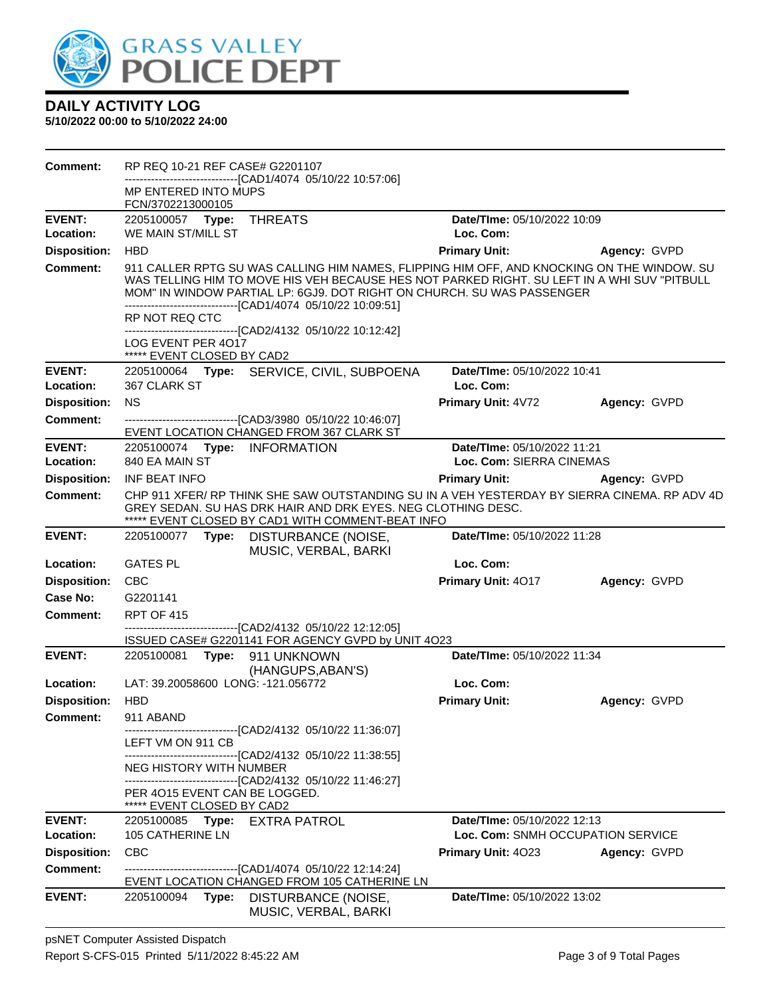

| Comment:            | RP REQ 10-21 REF CASE# G2201107                             |       |                                                                                                                                                                                                                                                                                                                                      |                                   |              |
|---------------------|-------------------------------------------------------------|-------|--------------------------------------------------------------------------------------------------------------------------------------------------------------------------------------------------------------------------------------------------------------------------------------------------------------------------------------|-----------------------------------|--------------|
|                     | MP ENTERED INTO MUPS<br>FCN/3702213000105                   |       | -------------------------------[CAD1/4074 05/10/22 10:57:06]                                                                                                                                                                                                                                                                         |                                   |              |
| <b>EVENT:</b>       | 2205100057    Type: THREATS                                 |       |                                                                                                                                                                                                                                                                                                                                      | Date/TIme: 05/10/2022 10:09       |              |
| Location:           | WE MAIN ST/MILL ST                                          |       |                                                                                                                                                                                                                                                                                                                                      | Loc. Com:                         |              |
| <b>Disposition:</b> | <b>HBD</b>                                                  |       |                                                                                                                                                                                                                                                                                                                                      | <b>Primary Unit:</b>              | Agency: GVPD |
| <b>Comment:</b>     | RP NOT REQ CTC                                              |       | 911 CALLER RPTG SU WAS CALLING HIM NAMES, FLIPPING HIM OFF, AND KNOCKING ON THE WINDOW. SU<br>WAS TELLING HIM TO MOVE HIS VEH BECAUSE HES NOT PARKED RIGHT. SU LEFT IN A WHI SUV "PITBULL<br>MOM" IN WINDOW PARTIAL LP: 6GJ9, DOT RIGHT ON CHURCH, SU WAS PASSENGER<br>--------------------------------[CAD1/4074 05/10/22 10:09:51] |                                   |              |
|                     | LOG EVENT PER 4017<br>***** EVENT CLOSED BY CAD2            |       | -------------------------------[CAD2/4132 05/10/22 10:12:42]                                                                                                                                                                                                                                                                         |                                   |              |
| <b>EVENT:</b>       |                                                             |       | 2205100064 Type: SERVICE, CIVIL, SUBPOENA                                                                                                                                                                                                                                                                                            | Date/TIme: 05/10/2022 10:41       |              |
| Location:           | 367 CLARK ST                                                |       |                                                                                                                                                                                                                                                                                                                                      | Loc. Com:                         |              |
| <b>Disposition:</b> | <b>NS</b>                                                   |       |                                                                                                                                                                                                                                                                                                                                      | Primary Unit: 4V72                | Agency: GVPD |
| <b>Comment:</b>     |                                                             |       | -------------------------------[CAD3/3980 05/10/22 10:46:07]<br>EVENT LOCATION CHANGED FROM 367 CLARK ST                                                                                                                                                                                                                             |                                   |              |
| <b>EVENT:</b>       |                                                             |       | 2205100074 Type: INFORMATION                                                                                                                                                                                                                                                                                                         | Date/TIme: 05/10/2022 11:21       |              |
| Location:           | 840 EA MAIN ST                                              |       |                                                                                                                                                                                                                                                                                                                                      | Loc. Com: SIERRA CINEMAS          |              |
| <b>Disposition:</b> | INF BEAT INFO                                               |       |                                                                                                                                                                                                                                                                                                                                      | <b>Primary Unit:</b>              | Agency: GVPD |
| <b>Comment:</b>     |                                                             |       | CHP 911 XFER/ RP THINK SHE SAW OUTSTANDING SU IN A VEH YESTERDAY BY SIERRA CINEMA. RP ADV 4D<br>GREY SEDAN. SU HAS DRK HAIR AND DRK EYES. NEG CLOTHING DESC.                                                                                                                                                                         |                                   |              |
|                     |                                                             |       | ***** EVENT CLOSED BY CAD1 WITH COMMENT-BEAT INFO                                                                                                                                                                                                                                                                                    |                                   |              |
| <b>EVENT:</b>       |                                                             |       | 2205100077 Type: DISTURBANCE (NOISE,<br>MUSIC, VERBAL, BARKI                                                                                                                                                                                                                                                                         | Date/TIme: 05/10/2022 11:28       |              |
| Location:           | <b>GATES PL</b>                                             |       |                                                                                                                                                                                                                                                                                                                                      | Loc. Com:                         |              |
| <b>Disposition:</b> | <b>CBC</b>                                                  |       |                                                                                                                                                                                                                                                                                                                                      | Primary Unit: 4017                | Agency: GVPD |
| Case No:            | G2201141                                                    |       |                                                                                                                                                                                                                                                                                                                                      |                                   |              |
| <b>Comment:</b>     | <b>RPT OF 415</b>                                           |       |                                                                                                                                                                                                                                                                                                                                      |                                   |              |
|                     |                                                             |       | -----------------[CAD2/4132_05/10/22 12:12:05]<br>ISSUED CASE# G2201141 FOR AGENCY GVPD by UNIT 4O23                                                                                                                                                                                                                                 |                                   |              |
| <b>EVENT:</b>       | 2205100081                                                  |       | Type: 911 UNKNOWN                                                                                                                                                                                                                                                                                                                    | Date/TIme: 05/10/2022 11:34       |              |
|                     |                                                             |       | (HANGUPS, ABAN'S)                                                                                                                                                                                                                                                                                                                    |                                   |              |
| Location:           | LAT: 39.20058600 LONG: -121.056772                          |       |                                                                                                                                                                                                                                                                                                                                      | Loc. Com:                         |              |
| <b>Disposition:</b> | <b>HBD</b>                                                  |       |                                                                                                                                                                                                                                                                                                                                      | <b>Primary Unit:</b>              | Agency: GVPD |
| <b>Comment:</b>     | 911 ABAND                                                   |       |                                                                                                                                                                                                                                                                                                                                      |                                   |              |
|                     | LEFT VM ON 911 CB                                           |       | -------------------------------[CAD2/4132 05/10/22 11:36:07]                                                                                                                                                                                                                                                                         |                                   |              |
|                     |                                                             |       | -------------------------------[CAD2/4132 05/10/22 11:38:55]                                                                                                                                                                                                                                                                         |                                   |              |
|                     | NEG HISTORY WITH NUMBER                                     |       |                                                                                                                                                                                                                                                                                                                                      |                                   |              |
|                     | PER 4015 EVENT CAN BE LOGGED.<br>***** EVENT CLOSED BY CAD2 |       | -------------------------------[CAD2/4132 05/10/22 11:46:27]                                                                                                                                                                                                                                                                         |                                   |              |
| <b>EVENT:</b>       |                                                             |       | 2205100085 Type: EXTRA PATROL                                                                                                                                                                                                                                                                                                        | Date/TIme: 05/10/2022 12:13       |              |
| Location:           | <b>105 CATHERINE LN</b>                                     |       |                                                                                                                                                                                                                                                                                                                                      | Loc. Com: SNMH OCCUPATION SERVICE |              |
| <b>Disposition:</b> | <b>CBC</b>                                                  |       |                                                                                                                                                                                                                                                                                                                                      | Primary Unit: 4023                | Agency: GVPD |
| <b>Comment:</b>     |                                                             |       | ------------------------------[CAD1/4074 05/10/22 12:14:24]<br>EVENT LOCATION CHANGED FROM 105 CATHERINE LN                                                                                                                                                                                                                          |                                   |              |
| <b>EVENT:</b>       | 2205100094                                                  | Type: | DISTURBANCE (NOISE,<br>MUSIC, VERBAL, BARKI                                                                                                                                                                                                                                                                                          | Date/TIme: 05/10/2022 13:02       |              |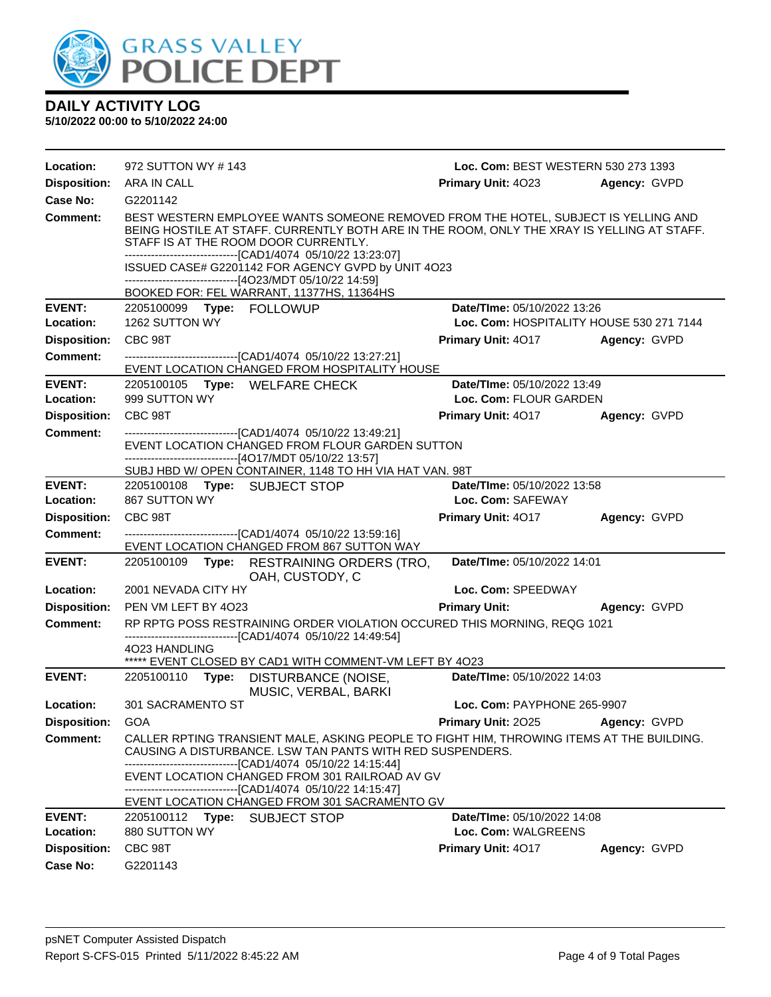

| Location:           | 972 SUTTON WY #143                                                                                                                                                                                                                                                                                                                                                                                                                                     | Loc. Com: BEST WESTERN 530 273 1393      |                             |  |  |
|---------------------|--------------------------------------------------------------------------------------------------------------------------------------------------------------------------------------------------------------------------------------------------------------------------------------------------------------------------------------------------------------------------------------------------------------------------------------------------------|------------------------------------------|-----------------------------|--|--|
| <b>Disposition:</b> | ARA IN CALL                                                                                                                                                                                                                                                                                                                                                                                                                                            | Primary Unit: 4023                       | Agency: GVPD                |  |  |
| Case No:            | G2201142                                                                                                                                                                                                                                                                                                                                                                                                                                               |                                          |                             |  |  |
| <b>Comment:</b>     | BEST WESTERN EMPLOYEE WANTS SOMEONE REMOVED FROM THE HOTEL, SUBJECT IS YELLING AND<br>BEING HOSTILE AT STAFF. CURRENTLY BOTH ARE IN THE ROOM, ONLY THE XRAY IS YELLING AT STAFF.<br>STAFF IS AT THE ROOM DOOR CURRENTLY.<br>-------------------------------[CAD1/4074 05/10/22 13:23:07]<br>ISSUED CASE# G2201142 FOR AGENCY GVPD by UNIT 4O23<br>------------------------------[4O23/MDT 05/10/22 14:59]<br>BOOKED FOR: FEL WARRANT, 11377HS, 11364HS |                                          |                             |  |  |
| <b>EVENT:</b>       | 2205100099 Type: FOLLOWUP                                                                                                                                                                                                                                                                                                                                                                                                                              |                                          | Date/TIme: 05/10/2022 13:26 |  |  |
| Location:           | 1262 SUTTON WY                                                                                                                                                                                                                                                                                                                                                                                                                                         | Loc. Com: HOSPITALITY HOUSE 530 271 7144 |                             |  |  |
| <b>Disposition:</b> | CBC 98T                                                                                                                                                                                                                                                                                                                                                                                                                                                | <b>Primary Unit: 4017</b>                | Agency: GVPD                |  |  |
| Comment:            | -------------------------------[CAD1/4074 05/10/22 13:27:21]<br>EVENT LOCATION CHANGED FROM HOSPITALITY HOUSE                                                                                                                                                                                                                                                                                                                                          |                                          |                             |  |  |
| <b>EVENT:</b>       | 2205100105 Type: WELFARE CHECK                                                                                                                                                                                                                                                                                                                                                                                                                         | Date/TIme: 05/10/2022 13:49              |                             |  |  |
| Location:           | 999 SUTTON WY                                                                                                                                                                                                                                                                                                                                                                                                                                          | Loc. Com: FLOUR GARDEN                   |                             |  |  |
| <b>Disposition:</b> | CBC 98T                                                                                                                                                                                                                                                                                                                                                                                                                                                | <b>Primary Unit: 4017</b>                | Agency: GVPD                |  |  |
| <b>Comment:</b>     | ------------------------------[CAD1/4074 05/10/22 13:49:21]<br>EVENT LOCATION CHANGED FROM FLOUR GARDEN SUTTON<br>------------------------------[4O17/MDT 05/10/22 13:57]<br>SUBJ HBD W/ OPEN CONTAINER, 1148 TO HH VIA HAT VAN. 98T                                                                                                                                                                                                                   |                                          |                             |  |  |
| <b>EVENT:</b>       | 2205100108 Type: SUBJECT STOP                                                                                                                                                                                                                                                                                                                                                                                                                          | Date/TIme: 05/10/2022 13:58              |                             |  |  |
| Location:           | 867 SUTTON WY                                                                                                                                                                                                                                                                                                                                                                                                                                          | Loc. Com: SAFEWAY                        |                             |  |  |
| <b>Disposition:</b> | CBC 98T                                                                                                                                                                                                                                                                                                                                                                                                                                                | <b>Primary Unit: 4017</b>                | Agency: GVPD                |  |  |
| <b>Comment:</b>     | -------------------------------[CAD1/4074_05/10/22 13:59:16]<br>EVENT LOCATION CHANGED FROM 867 SUTTON WAY                                                                                                                                                                                                                                                                                                                                             |                                          |                             |  |  |
| <b>EVENT:</b>       | 2205100109 Type: RESTRAINING ORDERS (TRO,<br>OAH, CUSTODY, C                                                                                                                                                                                                                                                                                                                                                                                           | Date/TIme: 05/10/2022 14:01              |                             |  |  |
| Location:           | 2001 NEVADA CITY HY                                                                                                                                                                                                                                                                                                                                                                                                                                    | Loc. Com: SPEEDWAY                       |                             |  |  |
| <b>Disposition:</b> | PEN VM LEFT BY 4023                                                                                                                                                                                                                                                                                                                                                                                                                                    | <b>Primary Unit:</b>                     | Agency: GVPD                |  |  |
| <b>Comment:</b>     | RP RPTG POSS RESTRAINING ORDER VIOLATION OCCURED THIS MORNING, REQG 1021<br>------------------------------[CAD1/4074 05/10/22 14:49:54]                                                                                                                                                                                                                                                                                                                |                                          |                             |  |  |
|                     | 4023 HANDLING<br>***** EVENT CLOSED BY CAD1 WITH COMMENT-VM LEFT BY 4023                                                                                                                                                                                                                                                                                                                                                                               |                                          |                             |  |  |
| <b>EVENT:</b>       | 2205100110 Type:<br>DISTURBANCE (NOISE,<br>MUSIC, VERBAL, BARKI                                                                                                                                                                                                                                                                                                                                                                                        | Date/TIme: 05/10/2022 14:03              |                             |  |  |
| Location:           | 301 SACRAMENTO ST                                                                                                                                                                                                                                                                                                                                                                                                                                      | Loc. Com: PAYPHONE 265-9907              |                             |  |  |
| <b>Disposition:</b> | GOA                                                                                                                                                                                                                                                                                                                                                                                                                                                    | Primary Unit: 2025                       | Agency: GVPD                |  |  |
| <b>Comment:</b>     | CALLER RPTING TRANSIENT MALE, ASKING PEOPLE TO FIGHT HIM, THROWING ITEMS AT THE BUILDING.<br>CAUSING A DISTURBANCE. LSW TAN PANTS WITH RED SUSPENDERS.<br>-------------------------------[CAD1/4074 05/10/22 14:15:44]<br>EVENT LOCATION CHANGED FROM 301 RAILROAD AV GV<br>-------[CAD1/4074_05/10/22 14:15:47]<br>EVENT LOCATION CHANGED FROM 301 SACRAMENTO GV                                                                                      |                                          |                             |  |  |
| <b>EVENT:</b>       | 2205100112 Type: SUBJECT STOP                                                                                                                                                                                                                                                                                                                                                                                                                          | Date/TIme: 05/10/2022 14:08              |                             |  |  |
| Location:           | 880 SUTTON WY                                                                                                                                                                                                                                                                                                                                                                                                                                          | Loc. Com: WALGREENS                      |                             |  |  |
| <b>Disposition:</b> | CBC 98T                                                                                                                                                                                                                                                                                                                                                                                                                                                | Primary Unit: 4017                       | Agency: GVPD                |  |  |
| Case No:            | G2201143                                                                                                                                                                                                                                                                                                                                                                                                                                               |                                          |                             |  |  |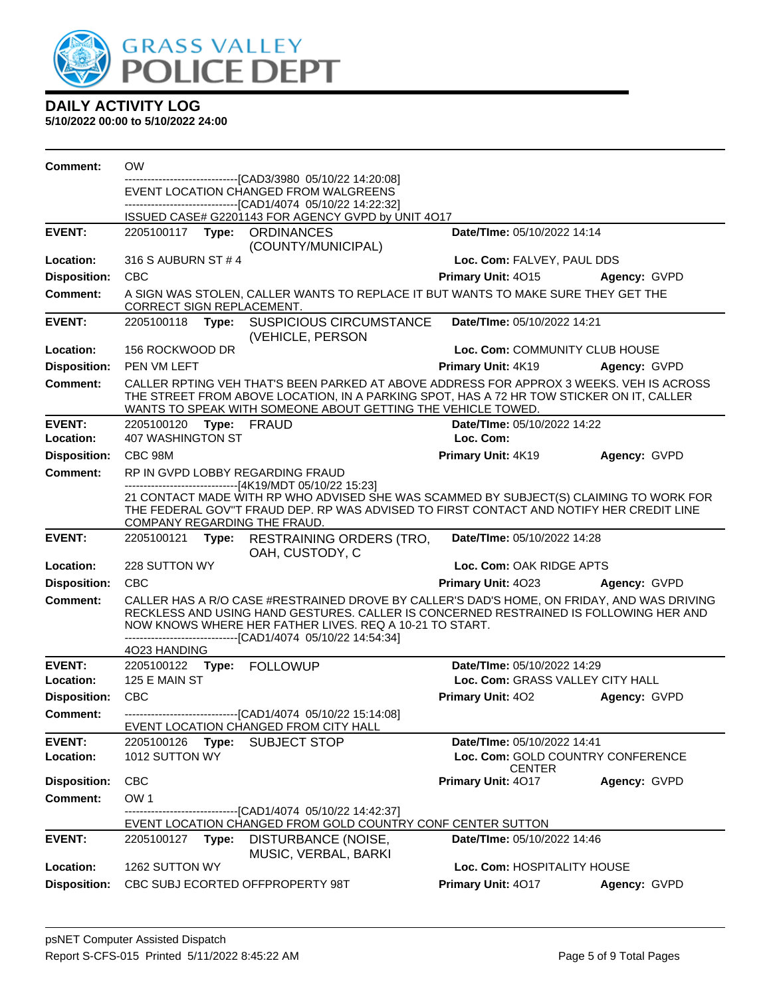

| Comment:                   | OW.                                        |       |                                                                                                                                                                                                                                                                                                                |                                                                 |                                   |
|----------------------------|--------------------------------------------|-------|----------------------------------------------------------------------------------------------------------------------------------------------------------------------------------------------------------------------------------------------------------------------------------------------------------------|-----------------------------------------------------------------|-----------------------------------|
|                            |                                            |       | -----------------[CAD3/3980 05/10/22 14:20:08]<br>EVENT LOCATION CHANGED FROM WALGREENS<br>------------------------------[CAD1/4074_05/10/22 14:22:32]                                                                                                                                                         |                                                                 |                                   |
|                            |                                            |       | ISSUED CASE# G2201143 FOR AGENCY GVPD by UNIT 4O17                                                                                                                                                                                                                                                             |                                                                 |                                   |
| <b>EVENT:</b>              |                                            |       | 2205100117 Type: ORDINANCES<br>(COUNTY/MUNICIPAL)                                                                                                                                                                                                                                                              | Date/TIme: 05/10/2022 14:14                                     |                                   |
| Location:                  | 316 S AUBURN ST # 4                        |       |                                                                                                                                                                                                                                                                                                                | Loc. Com: FALVEY, PAUL DDS                                      |                                   |
| <b>Disposition:</b>        | <b>CBC</b>                                 |       |                                                                                                                                                                                                                                                                                                                | Primary Unit: 4015                                              | Agency: GVPD                      |
| <b>Comment:</b>            | CORRECT SIGN REPLACEMENT.                  |       | A SIGN WAS STOLEN, CALLER WANTS TO REPLACE IT BUT WANTS TO MAKE SURE THEY GET THE                                                                                                                                                                                                                              |                                                                 |                                   |
| <b>EVENT:</b>              | 2205100118                                 | Type: | <b>SUSPICIOUS CIRCUMSTANCE</b><br>(VEHICLE, PERSON                                                                                                                                                                                                                                                             | Date/TIme: 05/10/2022 14:21                                     |                                   |
| Location:                  | 156 ROCKWOOD DR                            |       |                                                                                                                                                                                                                                                                                                                | Loc. Com: COMMUNITY CLUB HOUSE                                  |                                   |
| <b>Disposition:</b>        | PEN VM LEFT                                |       |                                                                                                                                                                                                                                                                                                                | <b>Primary Unit: 4K19</b>                                       | Agency: GVPD                      |
| <b>Comment:</b>            |                                            |       | CALLER RPTING VEH THAT'S BEEN PARKED AT ABOVE ADDRESS FOR APPROX 3 WEEKS. VEH IS ACROSS<br>THE STREET FROM ABOVE LOCATION, IN A PARKING SPOT, HAS A 72 HR TOW STICKER ON IT, CALLER<br>WANTS TO SPEAK WITH SOMEONE ABOUT GETTING THE VEHICLE TOWED.                                                            |                                                                 |                                   |
| <b>EVENT:</b>              | 2205100120 Type: FRAUD                     |       |                                                                                                                                                                                                                                                                                                                | Date/TIme: 05/10/2022 14:22                                     |                                   |
| Location:                  | <b>407 WASHINGTON ST</b>                   |       |                                                                                                                                                                                                                                                                                                                | Loc. Com:                                                       |                                   |
| <b>Disposition:</b>        | CBC 98M                                    |       |                                                                                                                                                                                                                                                                                                                | Primary Unit: 4K19                                              | Agency: GVPD                      |
| Comment:                   |                                            |       | RP IN GVPD LOBBY REGARDING FRAUD                                                                                                                                                                                                                                                                               |                                                                 |                                   |
|                            | COMPANY REGARDING THE FRAUD.               |       | ------------------------------[4K19/MDT 05/10/22 15:23]<br>21 CONTACT MADE WITH RP WHO ADVISED SHE WAS SCAMMED BY SUBJECT(S) CLAIMING TO WORK FOR<br>THE FEDERAL GOV"T FRAUD DEP. RP WAS ADVISED TO FIRST CONTACT AND NOTIFY HER CREDIT LINE                                                                   |                                                                 |                                   |
| <b>EVENT:</b>              |                                            |       | 2205100121 Type: RESTRAINING ORDERS (TRO,                                                                                                                                                                                                                                                                      | Date/TIme: 05/10/2022 14:28                                     |                                   |
|                            |                                            |       |                                                                                                                                                                                                                                                                                                                |                                                                 |                                   |
| Location:                  | 228 SUTTON WY                              |       | OAH, CUSTODY, C                                                                                                                                                                                                                                                                                                | Loc. Com: OAK RIDGE APTS                                        |                                   |
| <b>Disposition:</b>        | <b>CBC</b>                                 |       |                                                                                                                                                                                                                                                                                                                | Primary Unit: 4023                                              | Agency: GVPD                      |
| <b>Comment:</b>            |                                            |       | CALLER HAS A R/O CASE #RESTRAINED DROVE BY CALLER'S DAD'S HOME, ON FRIDAY, AND WAS DRIVING<br>RECKLESS AND USING HAND GESTURES. CALLER IS CONCERNED RESTRAINED IS FOLLOWING HER AND<br>NOW KNOWS WHERE HER FATHER LIVES. REQ A 10-21 TO START.<br>-------------------------------[CAD1/4074_05/10/22 14:54:34] |                                                                 |                                   |
|                            | 4023 HANDING                               |       |                                                                                                                                                                                                                                                                                                                |                                                                 |                                   |
| <b>EVENT:</b><br>Location: | 2205100122 Type: FOLLOWUP<br>125 E MAIN ST |       |                                                                                                                                                                                                                                                                                                                | Date/TIme: 05/10/2022 14:29<br>Loc. Com: GRASS VALLEY CITY HALL |                                   |
| <b>Disposition:</b>        | <b>CBC</b>                                 |       |                                                                                                                                                                                                                                                                                                                | <b>Primary Unit: 402</b>                                        | Agency: GVPD                      |
| <b>Comment:</b>            |                                            |       | --------------------------------[CAD1/4074 05/10/22 15:14:08]<br>EVENT LOCATION CHANGED FROM CITY HALL                                                                                                                                                                                                         |                                                                 |                                   |
| <b>EVENT:</b>              | 2205100126                                 | Type: | <b>SUBJECT STOP</b>                                                                                                                                                                                                                                                                                            | Date/TIme: 05/10/2022 14:41                                     |                                   |
| Location:                  | 1012 SUTTON WY                             |       |                                                                                                                                                                                                                                                                                                                |                                                                 | Loc. Com: GOLD COUNTRY CONFERENCE |
| <b>Disposition:</b>        | <b>CBC</b>                                 |       |                                                                                                                                                                                                                                                                                                                | <b>CENTER</b><br>Primary Unit: 4017                             | Agency: GVPD                      |
| <b>Comment:</b>            | OW <sub>1</sub>                            |       |                                                                                                                                                                                                                                                                                                                |                                                                 |                                   |
|                            |                                            |       | --------------------[CAD1/4074_05/10/22 14:42:37]                                                                                                                                                                                                                                                              |                                                                 |                                   |
| <b>EVENT:</b>              | 2205100127                                 | Type: | EVENT LOCATION CHANGED FROM GOLD COUNTRY CONF CENTER SUTTON<br>DISTURBANCE (NOISE,                                                                                                                                                                                                                             | Date/TIme: 05/10/2022 14:46                                     |                                   |
| Location:                  | 1262 SUTTON WY                             |       | MUSIC, VERBAL, BARKI                                                                                                                                                                                                                                                                                           | Loc. Com: HOSPITALITY HOUSE                                     |                                   |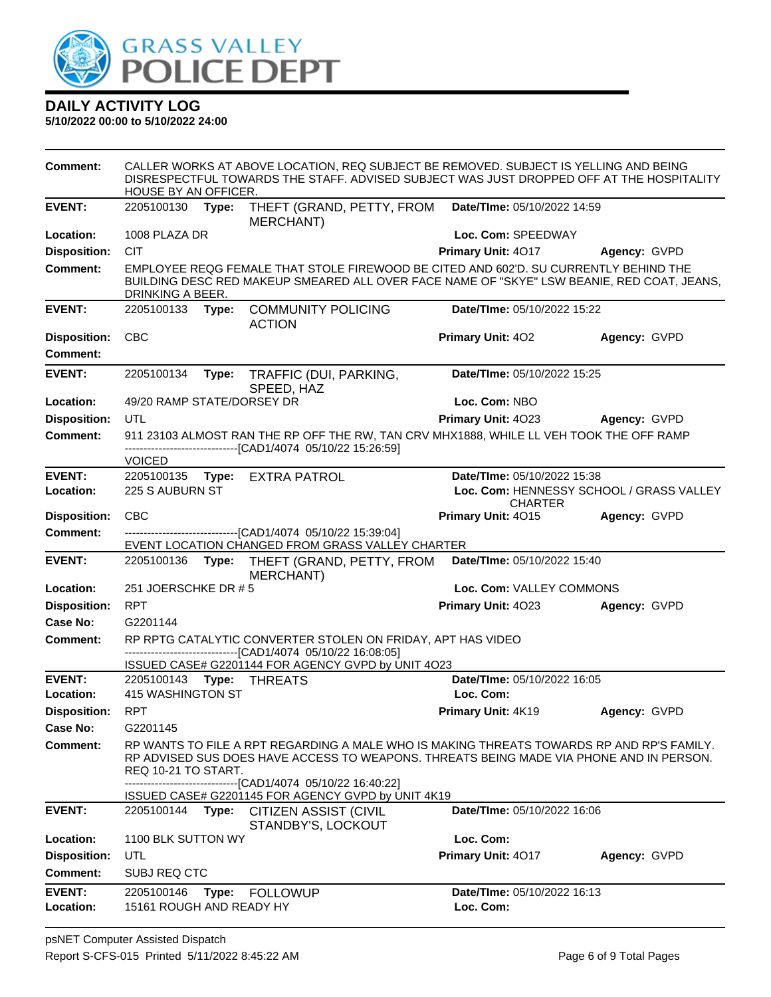

**5/10/2022 00:00 to 5/10/2022 24:00**

**Comment:** CALLER WORKS AT ABOVE LOCATION, REQ SUBJECT BE REMOVED. SUBJECT IS YELLING AND BEING DISRESPECTFUL TOWARDS THE STAFF. ADVISED SUBJECT WAS JUST DROPPED OFF AT THE HOSPITALITY HOUSE BY AN OFFICER. **EVENT:** 2205100130 **Type:** THEFT (GRAND, PETTY, FROM MERCHANT) **Date/TIme:** 05/10/2022 14:59 **Location:** 1008 PLAZA DR **Loc. Com:** SPEEDWAY **Disposition:** CIT **Primary Unit:** 4O17 **Agency:** GVPD **Comment:** EMPLOYEE REQG FEMALE THAT STOLE FIREWOOD BE CITED AND 602'D. SU CURRENTLY BEHIND THE BUILDING DESC RED MAKEUP SMEARED ALL OVER FACE NAME OF "SKYE" LSW BEANIE, RED COAT, JEANS, DRINKING A BEER. **EVENT:** 2205100133 **Type:** COMMUNITY POLICING ACTION **Date/TIme:** 05/10/2022 15:22 **Disposition:** CBC **Primary Unit:** 4O2 **Agency:** GVPD **Comment: EVENT:** 2205100134 **Type:** TRAFFIC (DUI, PARKING, SPEED, HAZ **Date/TIme:** 05/10/2022 15:25 **Location:** 49/20 RAMP STATE/DORSEY DR **Loc. Com:** NBO **Disposition:** UTL **Primary Unit:** 4O23 **Agency:** GVPD **Comment:** 911 23103 ALMOST RAN THE RP OFF THE RW, TAN CRV MHX1888, WHILE LL VEH TOOK THE OFF RAMP ------------------------------[CAD1/4074 05/10/22 15:26:59] VOICED **EVENT:** 2205100135 **Type:** EXTRA PATROL **Date/TIme:** 05/10/2022 15:38 **Location:** 225 S AUBURN ST **Loc. Com:** HENNESSY SCHOOL / GRASS VALLEY CHARTER **Disposition:** CBC **Primary Unit:** 4O15 **Agency:** GVPD **Comment:** ------------------------------[CAD1/4074 05/10/22 15:39:04] EVENT LOCATION CHANGED FROM GRASS VALLEY CHARTER **EVENT:** 2205100136 **Type:** THEFT (GRAND, PETTY, FROM MERCHANT) **Date/TIme:** 05/10/2022 15:40 **Location:** 251 JOERSCHKE DR # 5 **Loc. Com:** VALLEY COMMONS **Disposition:** RPT **Primary Unit:** 4O23 **Agency:** GVPD **Case No:** G2201144 **Comment:** RP RPTG CATALYTIC CONVERTER STOLEN ON FRIDAY, APT HAS VIDEO ------------------------------[CAD1/4074 05/10/22 16:08:05] ISSUED CASE# G2201144 FOR AGENCY GVPD by UNIT 4O23 **EVENT:** 2205100143 **Type:** THREATS **Date/TIme:** 05/10/2022 16:05 **Location:** 415 WASHINGTON ST **Loc. Com: Disposition:** RPT **Primary Unit:** 4K19 **Agency:** GVPD **Case No:** G2201145 **Comment:** RP WANTS TO FILE A RPT REGARDING A MALE WHO IS MAKING THREATS TOWARDS RP AND RP'S FAMILY. RP ADVISED SUS DOES HAVE ACCESS TO WEAPONS. THREATS BEING MADE VIA PHONE AND IN PERSON. REQ 10-21 TO START. ---[CAD1/4074 05/10/22 16:40:22] ISSUED CASE# G2201145 FOR AGENCY GVPD by UNIT 4K19 **EVENT:** 2205100144 **Type:** CITIZEN ASSIST (CIVIL STANDBY'S, LOCKOUT **Date/TIme:** 05/10/2022 16:06 **Location:** 1100 BLK SUTTON WY **Loc. Com: Disposition:** UTL **Primary Unit:** 4O17 **Agency:** GVPD **Comment:** SUBJ REQ CTC **EVENT:** 2205100146 **Type:** FOLLOWUP **Date/TIme:** 05/10/2022 16:13 **Location:** 15161 ROUGH AND READY HY **Loc. Com:**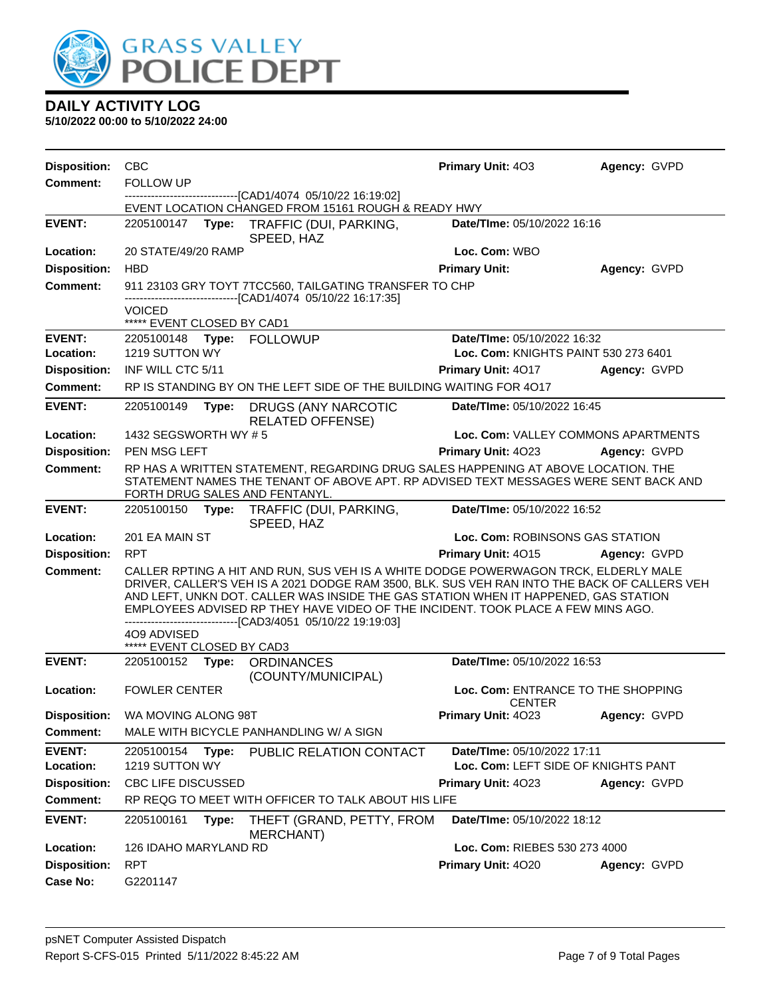

| <b>Disposition:</b> | <b>CBC</b>                                                                                                                                                                                                                                                                                                                                                                                                                     |       |                                                                     | <b>Primary Unit: 403</b>             | Agency: GVPD |  |
|---------------------|--------------------------------------------------------------------------------------------------------------------------------------------------------------------------------------------------------------------------------------------------------------------------------------------------------------------------------------------------------------------------------------------------------------------------------|-------|---------------------------------------------------------------------|--------------------------------------|--------------|--|
| <b>Comment:</b>     | FOLLOW UP                                                                                                                                                                                                                                                                                                                                                                                                                      |       |                                                                     |                                      |              |  |
|                     | --------------------------------[CAD1/4074 05/10/22 16:19:02]<br>EVENT LOCATION CHANGED FROM 15161 ROUGH & READY HWY                                                                                                                                                                                                                                                                                                           |       |                                                                     |                                      |              |  |
| <b>EVENT:</b>       |                                                                                                                                                                                                                                                                                                                                                                                                                                |       | 2205100147 Type: TRAFFIC (DUI, PARKING,<br>SPEED, HAZ               | Date/TIme: 05/10/2022 16:16          |              |  |
| Location:           | 20 STATE/49/20 RAMP                                                                                                                                                                                                                                                                                                                                                                                                            |       |                                                                     | Loc. Com: WBO                        |              |  |
| <b>Disposition:</b> | <b>HBD</b>                                                                                                                                                                                                                                                                                                                                                                                                                     |       |                                                                     | <b>Primary Unit:</b>                 | Agency: GVPD |  |
| Comment:            | 911 23103 GRY TOYT 7TCC560, TAILGATING TRANSFER TO CHP<br>-------------------------------[CAD1/4074 05/10/22 16:17:35]                                                                                                                                                                                                                                                                                                         |       |                                                                     |                                      |              |  |
|                     | <b>VOICED</b><br>***** EVENT CLOSED BY CAD1                                                                                                                                                                                                                                                                                                                                                                                    |       |                                                                     |                                      |              |  |
| <b>EVENT:</b>       |                                                                                                                                                                                                                                                                                                                                                                                                                                |       | 2205100148 Type: FOLLOWUP                                           | Date/TIme: 05/10/2022 16:32          |              |  |
| Location:           | 1219 SUTTON WY                                                                                                                                                                                                                                                                                                                                                                                                                 |       |                                                                     | Loc. Com: KNIGHTS PAINT 530 273 6401 |              |  |
| <b>Disposition:</b> | INF WILL CTC 5/11                                                                                                                                                                                                                                                                                                                                                                                                              |       |                                                                     | <b>Primary Unit: 4017</b>            | Agency: GVPD |  |
| <b>Comment:</b>     |                                                                                                                                                                                                                                                                                                                                                                                                                                |       | RP IS STANDING BY ON THE LEFT SIDE OF THE BUILDING WAITING FOR 4017 |                                      |              |  |
| <b>EVENT:</b>       | 2205100149                                                                                                                                                                                                                                                                                                                                                                                                                     | Type: | DRUGS (ANY NARCOTIC<br><b>RELATED OFFENSE)</b>                      | Date/TIme: 05/10/2022 16:45          |              |  |
| Location:           | 1432 SEGSWORTH WY # 5                                                                                                                                                                                                                                                                                                                                                                                                          |       |                                                                     | Loc. Com: VALLEY COMMONS APARTMENTS  |              |  |
| <b>Disposition:</b> | PEN MSG LEFT                                                                                                                                                                                                                                                                                                                                                                                                                   |       |                                                                     | <b>Primary Unit: 4023</b>            | Agency: GVPD |  |
| Comment:            | RP HAS A WRITTEN STATEMENT, REGARDING DRUG SALES HAPPENING AT ABOVE LOCATION. THE<br>STATEMENT NAMES THE TENANT OF ABOVE APT. RP ADVISED TEXT MESSAGES WERE SENT BACK AND<br>FORTH DRUG SALES AND FENTANYL.                                                                                                                                                                                                                    |       |                                                                     |                                      |              |  |
| <b>EVENT:</b>       |                                                                                                                                                                                                                                                                                                                                                                                                                                |       | 2205100150 Type: TRAFFIC (DUI, PARKING,<br>SPEED, HAZ               | Date/TIme: 05/10/2022 16:52          |              |  |
| Location:           | 201 EA MAIN ST                                                                                                                                                                                                                                                                                                                                                                                                                 |       |                                                                     | Loc. Com: ROBINSONS GAS STATION      |              |  |
| <b>Disposition:</b> | <b>RPT</b>                                                                                                                                                                                                                                                                                                                                                                                                                     |       |                                                                     | Primary Unit: 4015                   | Agency: GVPD |  |
| <b>Comment:</b>     | CALLER RPTING A HIT AND RUN, SUS VEH IS A WHITE DODGE POWERWAGON TRCK, ELDERLY MALE<br>DRIVER, CALLER'S VEH IS A 2021 DODGE RAM 3500, BLK. SUS VEH RAN INTO THE BACK OF CALLERS VEH<br>AND LEFT, UNKN DOT. CALLER WAS INSIDE THE GAS STATION WHEN IT HAPPENED, GAS STATION<br>EMPLOYEES ADVISED RP THEY HAVE VIDEO OF THE INCIDENT. TOOK PLACE A FEW MINS AGO.<br>-------------------------------[CAD3/4051 05/10/22 19:19:03] |       |                                                                     |                                      |              |  |
|                     | 4O9 ADVISED<br>***** EVENT CLOSED BY CAD3                                                                                                                                                                                                                                                                                                                                                                                      |       |                                                                     |                                      |              |  |
| <b>EVENT:</b>       |                                                                                                                                                                                                                                                                                                                                                                                                                                |       | 2205100152 Type: ORDINANCES                                         | Date/TIme: 05/10/2022 16:53          |              |  |
| Location:           | <b>FOWLER CENTER</b>                                                                                                                                                                                                                                                                                                                                                                                                           |       | (COUNTY/MUNICIPAL)                                                  | Loc. Com: ENTRANCE TO THE SHOPPING   |              |  |
|                     | Disposition: WA MOVING ALONG 98T                                                                                                                                                                                                                                                                                                                                                                                               |       |                                                                     | <b>CENTER</b><br>Primary Unit: 4023  | Agency: GVPD |  |
| Comment:            |                                                                                                                                                                                                                                                                                                                                                                                                                                |       | MALE WITH BICYCLE PANHANDLING W/ A SIGN                             |                                      |              |  |
| <b>EVENT:</b>       | 2205100154                                                                                                                                                                                                                                                                                                                                                                                                                     | Type: | PUBLIC RELATION CONTACT                                             | Date/TIme: 05/10/2022 17:11          |              |  |
| Location:           | 1219 SUTTON WY                                                                                                                                                                                                                                                                                                                                                                                                                 |       |                                                                     | Loc. Com: LEFT SIDE OF KNIGHTS PANT  |              |  |
| <b>Disposition:</b> | CBC LIFE DISCUSSED                                                                                                                                                                                                                                                                                                                                                                                                             |       |                                                                     | Primary Unit: 4023                   | Agency: GVPD |  |
| <b>Comment:</b>     |                                                                                                                                                                                                                                                                                                                                                                                                                                |       | RP REQG TO MEET WITH OFFICER TO TALK ABOUT HIS LIFE                 |                                      |              |  |
| <b>EVENT:</b>       | 2205100161                                                                                                                                                                                                                                                                                                                                                                                                                     | Type: | THEFT (GRAND, PETTY, FROM<br>MERCHANT)                              | Date/TIme: 05/10/2022 18:12          |              |  |
| Location:           | 126 IDAHO MARYLAND RD                                                                                                                                                                                                                                                                                                                                                                                                          |       |                                                                     | Loc. Com: RIEBES 530 273 4000        |              |  |
| <b>Disposition:</b> | <b>RPT</b>                                                                                                                                                                                                                                                                                                                                                                                                                     |       |                                                                     | Primary Unit: 4020                   | Agency: GVPD |  |
| <b>Case No:</b>     | G2201147                                                                                                                                                                                                                                                                                                                                                                                                                       |       |                                                                     |                                      |              |  |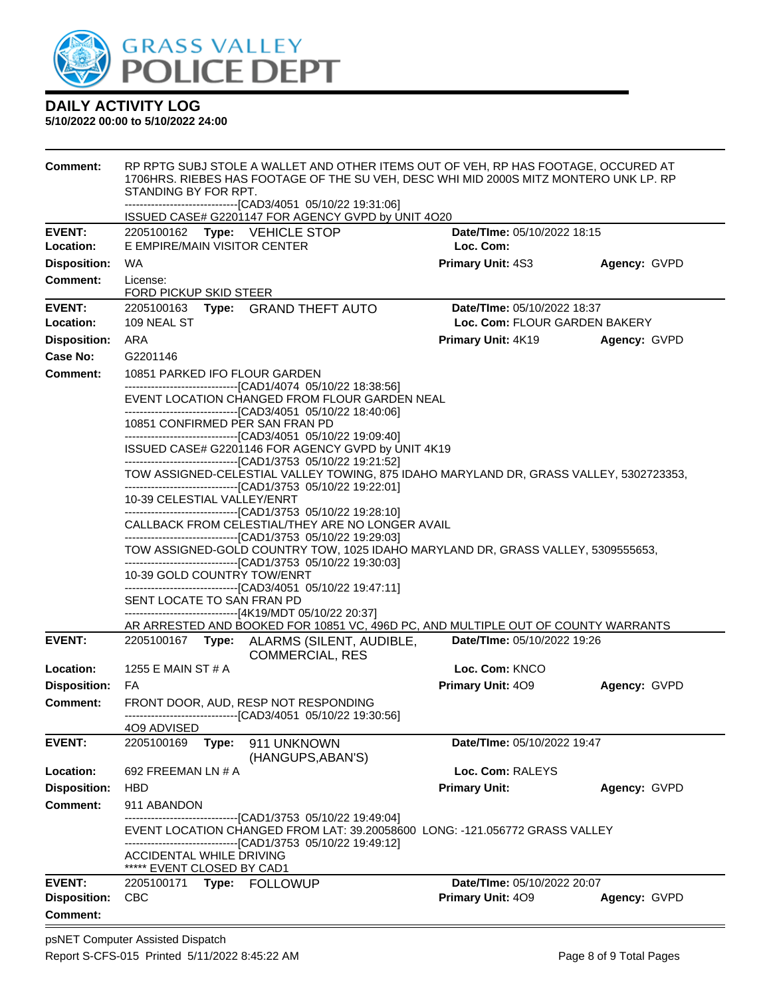

| Comment:                               | RP RPTG SUBJ STOLE A WALLET AND OTHER ITEMS OUT OF VEH, RP HAS FOOTAGE, OCCURED AT<br>1706HRS. RIEBES HAS FOOTAGE OF THE SU VEH, DESC WHI MID 2000S MITZ MONTERO UNK LP. RP<br>STANDING BY FOR RPT. |                             |              |  |  |  |
|----------------------------------------|-----------------------------------------------------------------------------------------------------------------------------------------------------------------------------------------------------|-----------------------------|--------------|--|--|--|
|                                        | ------------------------------[CAD3/4051 05/10/22 19:31:06]<br>ISSUED CASE# G2201147 FOR AGENCY GVPD by UNIT 4O20                                                                                   |                             |              |  |  |  |
| <b>EVENT:</b><br>Location:             | Date/TIme: 05/10/2022 18:15<br>2205100162 Type: VEHICLE STOP<br>E EMPIRE/MAIN VISITOR CENTER<br>Loc. Com:                                                                                           |                             |              |  |  |  |
| <b>Disposition:</b>                    | WA                                                                                                                                                                                                  | Primary Unit: 4S3           | Agency: GVPD |  |  |  |
| <b>Comment:</b>                        | License:<br>FORD PICKUP SKID STEER                                                                                                                                                                  |                             |              |  |  |  |
| <b>EVENT:</b>                          | Date/TIme: 05/10/2022 18:37<br>2205100163 Type: GRAND THEFT AUTO                                                                                                                                    |                             |              |  |  |  |
| Location:                              | 109 NEAL ST<br>Loc. Com: FLOUR GARDEN BAKERY                                                                                                                                                        |                             |              |  |  |  |
| <b>Disposition:</b>                    | ARA                                                                                                                                                                                                 | Primary Unit: 4K19          | Agency: GVPD |  |  |  |
| <b>Case No:</b>                        | G2201146                                                                                                                                                                                            |                             |              |  |  |  |
| <b>Comment:</b>                        | 10851 PARKED IFO FLOUR GARDEN<br>-------------------------------[CAD1/4074_05/10/22 18:38:56]                                                                                                       |                             |              |  |  |  |
|                                        | EVENT LOCATION CHANGED FROM FLOUR GARDEN NEAL<br>-------------------------------[CAD3/4051 05/10/22 18:40:06]                                                                                       |                             |              |  |  |  |
|                                        | 10851 CONFIRMED PER SAN FRAN PD<br>--------------------------------[CAD3/4051_05/10/22 19:09:40]                                                                                                    |                             |              |  |  |  |
|                                        | ISSUED CASE# G2201146 FOR AGENCY GVPD by UNIT 4K19<br>--------------------------------[CAD1/3753 05/10/22 19:21:52]                                                                                 |                             |              |  |  |  |
|                                        | TOW ASSIGNED-CELESTIAL VALLEY TOWING, 875 IDAHO MARYLAND DR, GRASS VALLEY, 5302723353,<br>-------------------------------[CAD1/3753 05/10/22 19:22:01]                                              |                             |              |  |  |  |
|                                        | 10-39 CELESTIAL VALLEY/ENRT<br>-------------------------------[CAD1/3753_05/10/22 19:28:10]                                                                                                         |                             |              |  |  |  |
|                                        | CALLBACK FROM CELESTIAL/THEY ARE NO LONGER AVAIL<br>-------------------------------[CAD1/3753 05/10/22 19:29:03]                                                                                    |                             |              |  |  |  |
|                                        | TOW ASSIGNED-GOLD COUNTRY TOW, 1025 IDAHO MARYLAND DR, GRASS VALLEY, 5309555653,<br>-------------------------------[CAD1/3753 05/10/22 19:30:03]                                                    |                             |              |  |  |  |
|                                        | 10-39 GOLD COUNTRY TOW/ENRT                                                                                                                                                                         |                             |              |  |  |  |
|                                        | -------------------------------[CAD3/4051_05/10/22 19:47:11]<br>SENT LOCATE TO SAN FRAN PD                                                                                                          |                             |              |  |  |  |
|                                        | -------------------------------[4K19/MDT 05/10/22 20:37]                                                                                                                                            |                             |              |  |  |  |
| <b>EVENT:</b>                          | AR ARRESTED AND BOOKED FOR 10851 VC, 496D PC, AND MULTIPLE OUT OF COUNTY WARRANTS                                                                                                                   |                             |              |  |  |  |
|                                        | Date/TIme: 05/10/2022 19:26<br>2205100167 Type: ALARMS (SILENT, AUDIBLE,<br><b>COMMERCIAL, RES</b>                                                                                                  |                             |              |  |  |  |
| Location:                              | 1255 E MAIN ST # A                                                                                                                                                                                  | Loc. Com: KNCO              |              |  |  |  |
| <b>Disposition:</b>                    | FA                                                                                                                                                                                                  | Primary Unit: 409           | Agency: GVPD |  |  |  |
| <b>Comment:</b>                        | FRONT DOOR, AUD, RESP NOT RESPONDING<br>------------------------------[CAD3/4051 05/10/22 19:30:56]                                                                                                 |                             |              |  |  |  |
|                                        | 4O9 ADVISED                                                                                                                                                                                         |                             |              |  |  |  |
| <b>EVENT:</b>                          | 2205100169<br>Type: 911 UNKNOWN<br>(HANGUPS, ABAN'S)                                                                                                                                                | Date/TIme: 05/10/2022 19:47 |              |  |  |  |
| Location:                              | 692 FREEMAN LN # A                                                                                                                                                                                  | Loc. Com: RALEYS            |              |  |  |  |
| <b>Disposition:</b>                    | <b>HBD</b>                                                                                                                                                                                          | <b>Primary Unit:</b>        | Agency: GVPD |  |  |  |
| <b>Comment:</b>                        | 911 ABANDON                                                                                                                                                                                         |                             |              |  |  |  |
|                                        | -----------------------[CAD1/3753_05/10/22_19:49:04]<br>EVENT LOCATION CHANGED FROM LAT: 39.20058600 LONG: -121.056772 GRASS VALLEY<br>-------------------------------[CAD1/3753_05/10/22_19:49:12] |                             |              |  |  |  |
|                                        | ACCIDENTAL WHILE DRIVING<br>***** EVENT CLOSED BY CAD1                                                                                                                                              |                             |              |  |  |  |
| <b>EVENT:</b>                          | 2205100171 Type: FOLLOWUP                                                                                                                                                                           | Date/TIme: 05/10/2022 20:07 |              |  |  |  |
| <b>Disposition:</b><br><b>Comment:</b> | <b>CBC</b>                                                                                                                                                                                          | Primary Unit: 409           | Agency: GVPD |  |  |  |